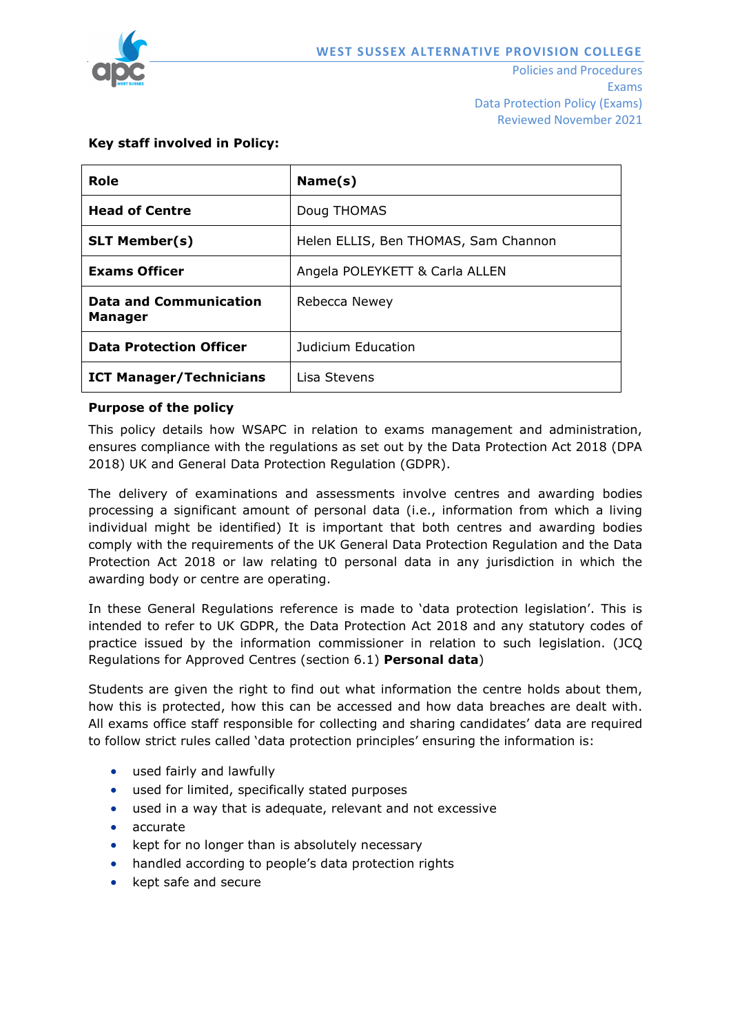

Exams Data Protection Policy (Exams) Reviewed November 2021

# **Key staff involved in Policy:**

| Role                                            | Name(s)                              |  |
|-------------------------------------------------|--------------------------------------|--|
| <b>Head of Centre</b>                           | Doug THOMAS                          |  |
| <b>SLT Member(s)</b>                            | Helen ELLIS, Ben THOMAS, Sam Channon |  |
| <b>Exams Officer</b>                            | Angela POLEYKETT & Carla ALLEN       |  |
| <b>Data and Communication</b><br><b>Manager</b> | Rebecca Newey                        |  |
| <b>Data Protection Officer</b>                  | Judicium Education                   |  |
| <b>ICT Manager/Technicians</b>                  | Lisa Stevens                         |  |

### **Purpose of the policy**

This policy details how WSAPC in relation to exams management and administration, ensures compliance with the regulations as set out by the Data Protection Act 2018 (DPA 2018) UK and General Data Protection Regulation (GDPR).

The delivery of examinations and assessments involve centres and awarding bodies processing a significant amount of personal data (i.e., information from which a living individual might be identified) It is important that both centres and awarding bodies comply with the requirements of the UK General Data Protection Regulation and the Data Protection Act 2018 or law relating t0 personal data in any jurisdiction in which the awarding body or centre are operating.

In these General Regulations reference is made to 'data protection legislation'. This is intended to refer to UK GDPR, the Data Protection Act 2018 and any statutory codes of practice issued by the information commissioner in relation to such legislation. (JCQ Regulations for Approved Centres (section 6.1) **Personal data**)

Students are given the right to find out what information the centre holds about them, how this is protected, how this can be accessed and how data breaches are dealt with. All exams office staff responsible for collecting and sharing candidates' data are required to follow strict rules called 'data protection principles' ensuring the information is:

- used fairly and lawfully
- used for limited, specifically stated purposes
- used in a way that is adequate, relevant and not excessive
- accurate
- kept for no longer than is absolutely necessary
- handled according to people's data protection rights
- kept safe and secure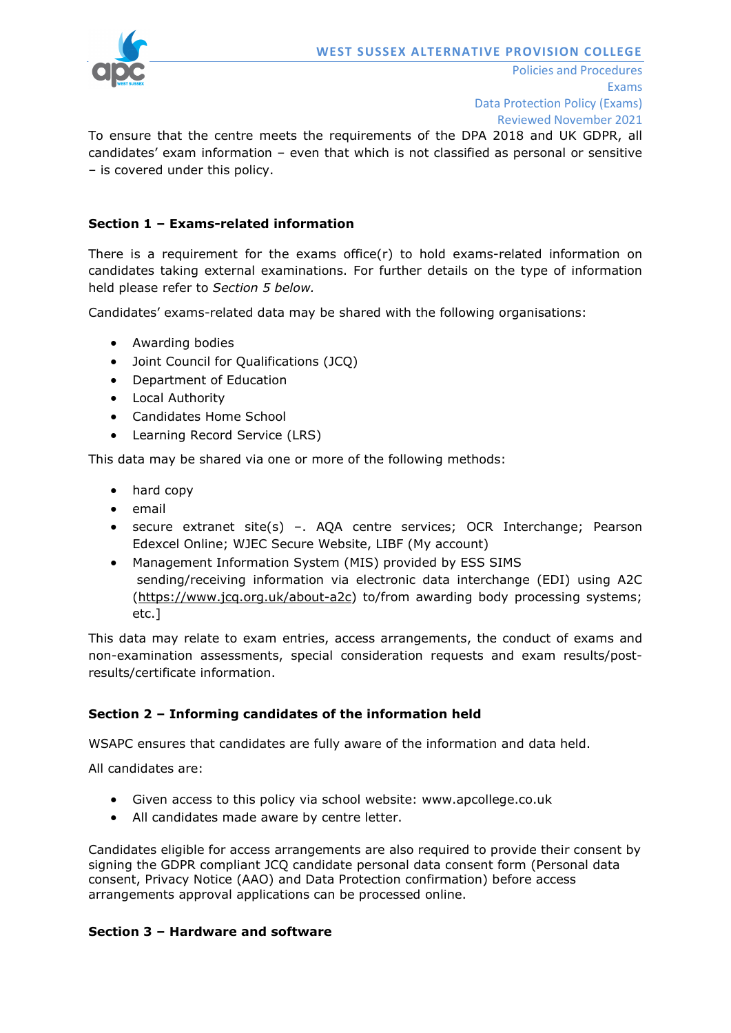

To ensure that the centre meets the requirements of the DPA 2018 and UK GDPR, all candidates' exam information – even that which is not classified as personal or sensitive – is covered under this policy.

## **Section 1 – Exams-related information**

There is a requirement for the exams office(r) to hold exams-related information on candidates taking external examinations. For further details on the type of information held please refer to *Section 5 below.*

Candidates' exams-related data may be shared with the following organisations:

- Awarding bodies
- Joint Council for Qualifications (JCQ)
- Department of Education
- Local Authority
- Candidates Home School
- Learning Record Service (LRS)

This data may be shared via one or more of the following methods:

- hard copy
- email
- secure extranet site(s) –. AQA centre services; OCR Interchange; Pearson Edexcel Online; WJEC Secure Website, LIBF (My account)
- Management Information System (MIS) provided by ESS SIMS sending/receiving information via electronic data interchange (EDI) using A2C [\(https://www.jcq.org.uk/about-a2c\)](https://www.jcq.org.uk/about-a2c) to/from awarding body processing systems; etc.]

This data may relate to exam entries, access arrangements, the conduct of exams and non-examination assessments, special consideration requests and exam results/postresults/certificate information.

### **Section 2 – Informing candidates of the information held**

WSAPC ensures that candidates are fully aware of the information and data held.

All candidates are:

- Given access to this policy via school website: www.apcollege.co.uk
- All candidates made aware by centre letter.

Candidates eligible for access arrangements are also required to provide their consent by signing the GDPR compliant JCQ candidate personal data consent form (Personal data consent, Privacy Notice (AAO) and Data Protection confirmation) before access arrangements approval applications can be processed online.

#### **Section 3 – Hardware and software**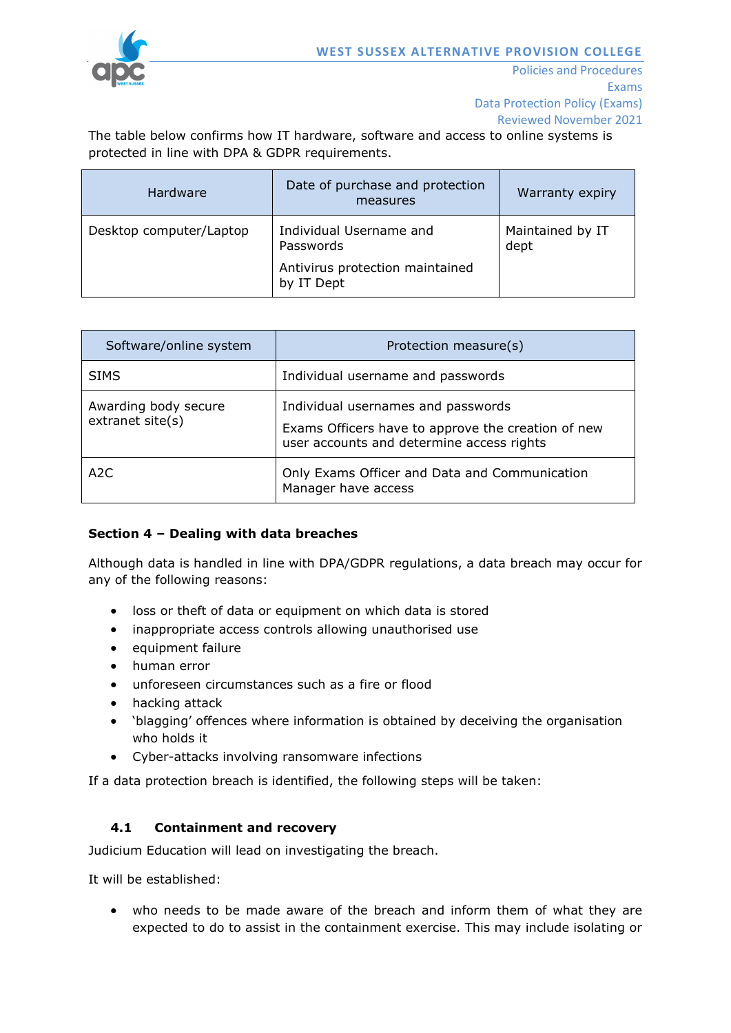

The table below confirms how IT hardware, software and access to online systems is protected in line with DPA & GDPR requirements.

| Hardware                | Date of purchase and protection<br>measures                                           | Warranty expiry          |
|-------------------------|---------------------------------------------------------------------------------------|--------------------------|
| Desktop computer/Laptop | Individual Username and<br>Passwords<br>Antivirus protection maintained<br>by IT Dept | Maintained by IT<br>dept |

| Software/online system                   | Protection measure(s)                                                                                                                 |
|------------------------------------------|---------------------------------------------------------------------------------------------------------------------------------------|
| <b>SIMS</b>                              | Individual username and passwords                                                                                                     |
| Awarding body secure<br>extranet site(s) | Individual usernames and passwords<br>Exams Officers have to approve the creation of new<br>user accounts and determine access rights |
| A2C                                      | Only Exams Officer and Data and Communication<br>Manager have access                                                                  |

### **Section 4 – Dealing with data breaches**

Although data is handled in line with DPA/GDPR regulations, a data breach may occur for any of the following reasons:

- loss or theft of data or equipment on which data is stored
- inappropriate access controls allowing unauthorised use
- equipment failure
- human error
- unforeseen circumstances such as a fire or flood
- hacking attack
- 'blagging' offences where information is obtained by deceiving the organisation who holds it
- Cyber-attacks involving ransomware infections

If a data protection breach is identified, the following steps will be taken:

### **4.1 Containment and recovery**

Judicium Education will lead on investigating the breach.

It will be established:

• who needs to be made aware of the breach and inform them of what they are expected to do to assist in the containment exercise. This may include isolating or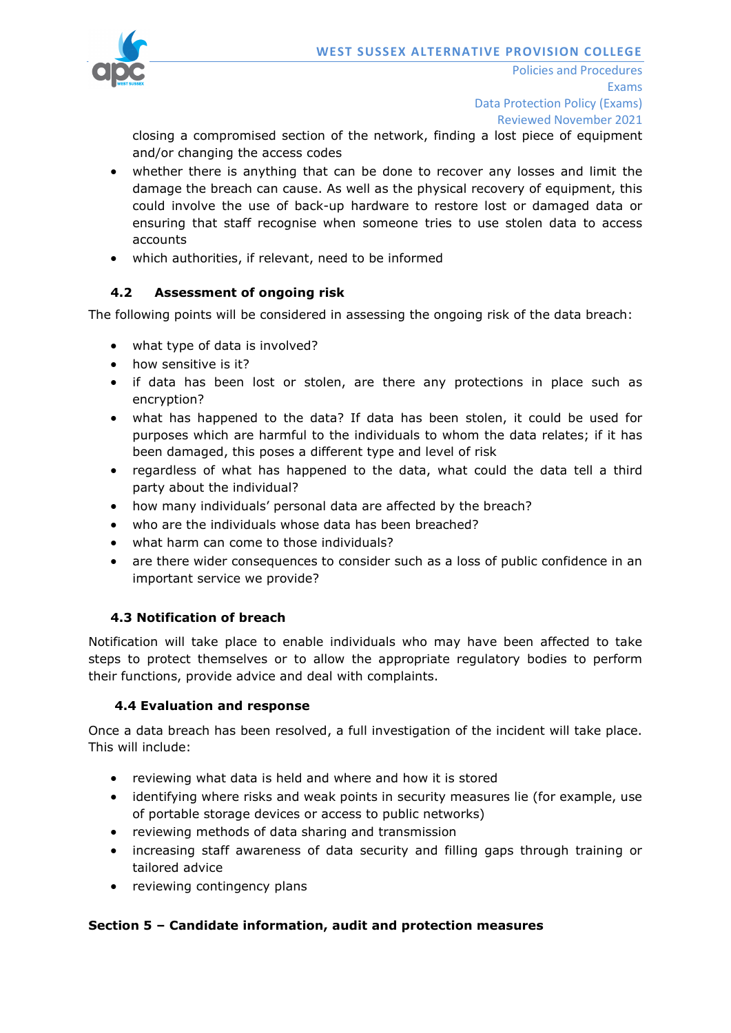

closing a compromised section of the network, finding a lost piece of equipment and/or changing the access codes

- whether there is anything that can be done to recover any losses and limit the damage the breach can cause. As well as the physical recovery of equipment, this could involve the use of back-up hardware to restore lost or damaged data or ensuring that staff recognise when someone tries to use stolen data to access accounts
- which authorities, if relevant, need to be informed

# **4.2 Assessment of ongoing risk**

The following points will be considered in assessing the ongoing risk of the data breach:

- what type of data is involved?
- how sensitive is it?
- if data has been lost or stolen, are there any protections in place such as encryption?
- what has happened to the data? If data has been stolen, it could be used for purposes which are harmful to the individuals to whom the data relates; if it has been damaged, this poses a different type and level of risk
- regardless of what has happened to the data, what could the data tell a third party about the individual?
- how many individuals' personal data are affected by the breach?
- who are the individuals whose data has been breached?
- what harm can come to those individuals?
- are there wider consequences to consider such as a loss of public confidence in an important service we provide?

# **4.3 Notification of breach**

Notification will take place to enable individuals who may have been affected to take steps to protect themselves or to allow the appropriate regulatory bodies to perform their functions, provide advice and deal with complaints.

### **4.4 Evaluation and response**

Once a data breach has been resolved, a full investigation of the incident will take place. This will include:

- reviewing what data is held and where and how it is stored
- identifying where risks and weak points in security measures lie (for example, use of portable storage devices or access to public networks)
- reviewing methods of data sharing and transmission
- increasing staff awareness of data security and filling gaps through training or tailored advice
- reviewing contingency plans

### **Section 5 – Candidate information, audit and protection measures**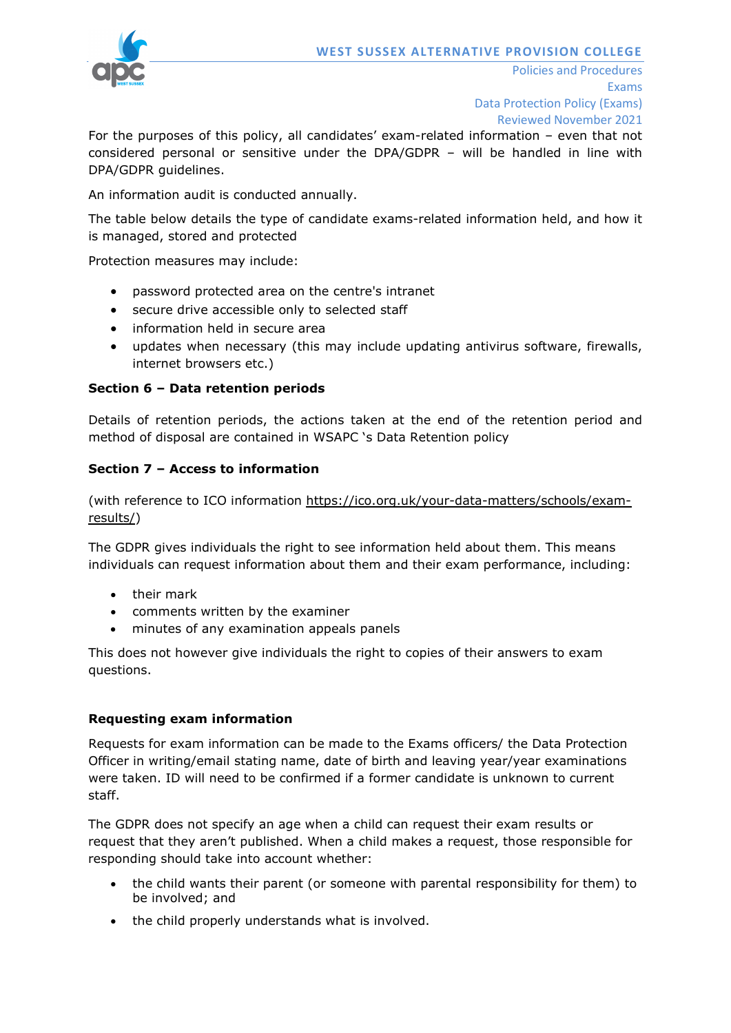

For the purposes of this policy, all candidates' exam-related information – even that not considered personal or sensitive under the DPA/GDPR – will be handled in line with DPA/GDPR guidelines.

An information audit is conducted annually.

The table below details the type of candidate exams-related information held, and how it is managed, stored and protected

Protection measures may include:

- password protected area on the centre's intranet
- secure drive accessible only to selected staff
- information held in secure area
- updates when necessary (this may include updating antivirus software, firewalls, internet browsers etc.)

### **Section 6 – Data retention periods**

Details of retention periods, the actions taken at the end of the retention period and method of disposal are contained in WSAPC 's Data Retention policy

### **Section 7 – Access to information**

(with reference to ICO information [https://ico.org.uk/your-data-matters/schools/exam](https://ico.org.uk/your-data-matters/schools/exam-results/)[results/\)](https://ico.org.uk/your-data-matters/schools/exam-results/)

The GDPR gives individuals the right to see information held about them. This means individuals can request information about them and their exam performance, including:

- their mark
- comments written by the examiner
- minutes of any examination appeals panels

This does not however give individuals the right to copies of their answers to exam questions.

#### **Requesting exam information**

Requests for exam information can be made to the Exams officers/ the Data Protection Officer in writing/email stating name, date of birth and leaving year/year examinations were taken. ID will need to be confirmed if a former candidate is unknown to current staff.

The GDPR does not specify an age when a child can request their exam results or request that they aren't published. When a child makes a request, those responsible for responding should take into account whether:

- the child wants their parent (or someone with parental responsibility for them) to be involved; and
- the child properly understands what is involved.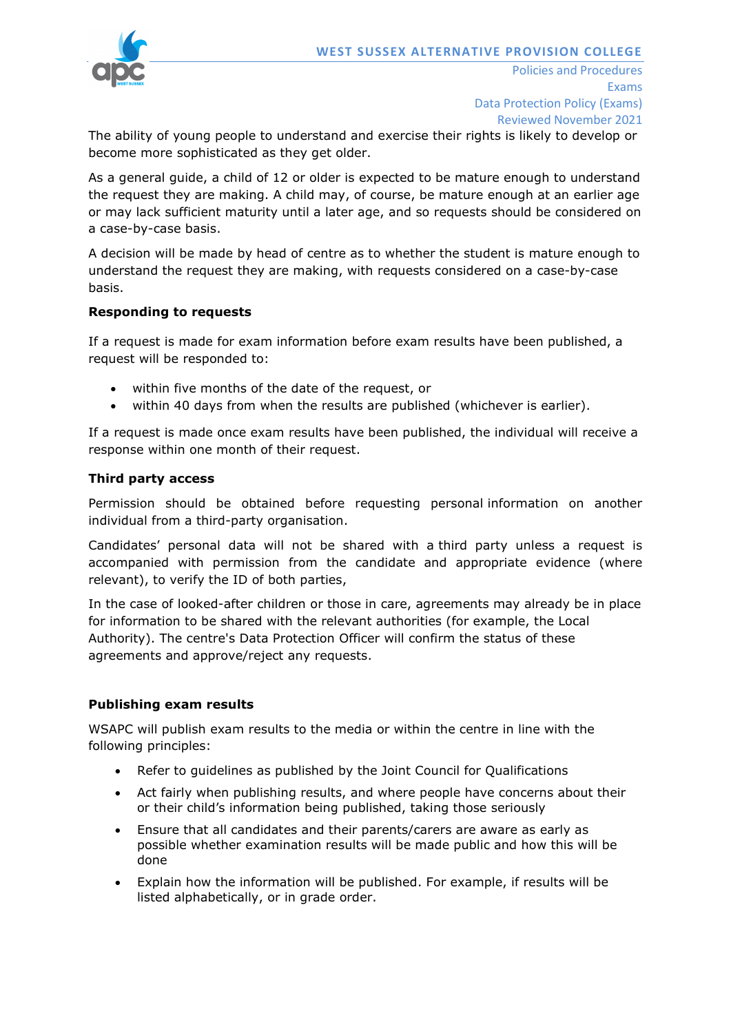

Policies and Procedures Exams Data Protection Policy (Exams) Reviewed November 2021

The ability of young people to understand and exercise their rights is likely to develop or become more sophisticated as they get older.

As a general guide, a child of 12 or older is expected to be mature enough to understand the request they are making. A child may, of course, be mature enough at an earlier age or may lack sufficient maturity until a later age, and so requests should be considered on a case-by-case basis.

A decision will be made by head of centre as to whether the student is mature enough to understand the request they are making, with requests considered on a case-by-case basis.

### **Responding to requests**

If a request is made for exam information before exam results have been published, a request will be responded to:

- within five months of the date of the request, or
- within 40 days from when the results are published (whichever is earlier).

If a request is made once exam results have been published, the individual will receive a response within one month of their request.

### **Third party access**

Permission should be obtained before requesting personal information on another individual from a third-party organisation.

Candidates' personal data will not be shared with a third party unless a request is accompanied with permission from the candidate and appropriate evidence (where relevant), to verify the ID of both parties,

In the case of looked-after children or those in care, agreements may already be in place for information to be shared with the relevant authorities (for example, the Local Authority). The centre's Data Protection Officer will confirm the status of these agreements and approve/reject any requests.

#### **Publishing exam results**

WSAPC will publish exam results to the media or within the centre in line with the following principles:

- Refer to guidelines as published by the Joint Council for Qualifications
- Act fairly when publishing results, and where people have concerns about their or their child's information being published, taking those seriously
- Ensure that all candidates and their parents/carers are aware as early as possible whether examination results will be made public and how this will be done
- Explain how the information will be published. For example, if results will be listed alphabetically, or in grade order.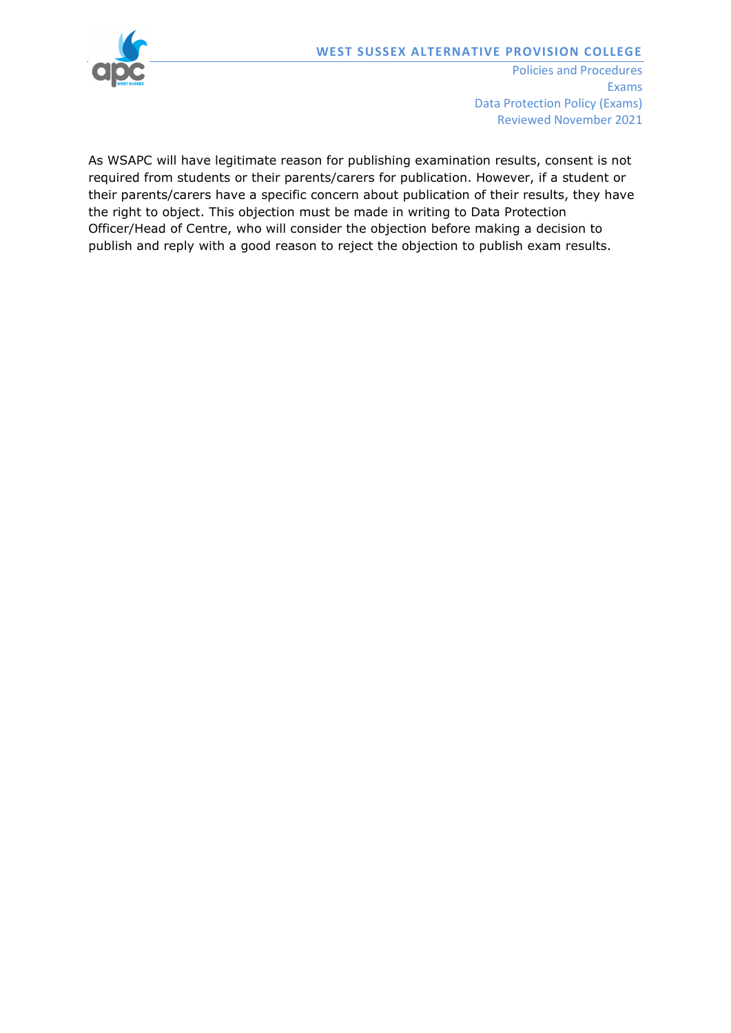

Exams Data Protection Policy (Exams) Reviewed November 2021

As WSAPC will have legitimate reason for publishing examination results, consent is not required from students or their parents/carers for publication. However, if a student or their parents/carers have a specific concern about publication of their results, they have the right to object. This objection must be made in writing to Data Protection Officer/Head of Centre, who will consider the objection before making a decision to publish and reply with a good reason to reject the objection to publish exam results.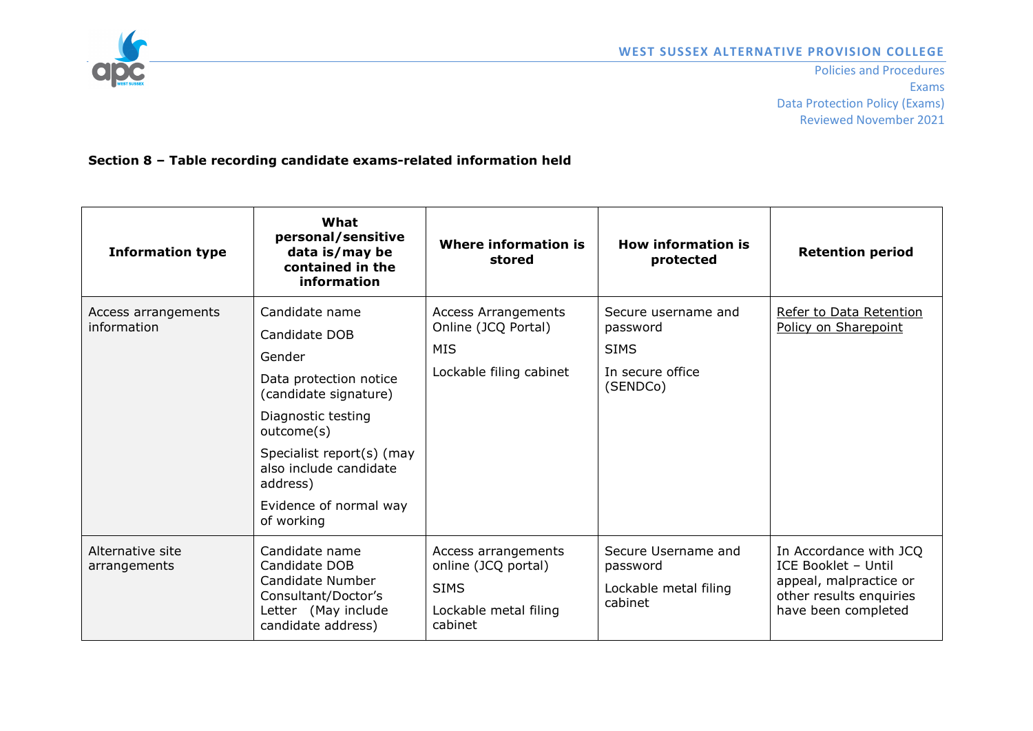

Policies and Procedures Exams Data Protection Policy (Exams) Reviewed November 2021

**Section 8 – Table recording candidate exams-related information held**

| <b>Information type</b>            | What<br>personal/sensitive<br>data is/may be<br>contained in the<br>information                                                                                                                                                             | Where information is<br>stored                                                                | How information is<br>protected                                                | <b>Retention period</b>                                                                                                   |
|------------------------------------|---------------------------------------------------------------------------------------------------------------------------------------------------------------------------------------------------------------------------------------------|-----------------------------------------------------------------------------------------------|--------------------------------------------------------------------------------|---------------------------------------------------------------------------------------------------------------------------|
| Access arrangements<br>information | Candidate name<br>Candidate DOB<br>Gender<br>Data protection notice<br>(candidate signature)<br>Diagnostic testing<br>outcome(s)<br>Specialist report(s) (may<br>also include candidate<br>address)<br>Evidence of normal way<br>of working | <b>Access Arrangements</b><br>Online (JCQ Portal)<br><b>MIS</b><br>Lockable filing cabinet    | Secure username and<br>password<br><b>SIMS</b><br>In secure office<br>(SENDCo) | Refer to Data Retention<br>Policy on Sharepoint                                                                           |
| Alternative site<br>arrangements   | Candidate name<br>Candidate DOB<br>Candidate Number<br>Consultant/Doctor's<br>Letter (May include<br>candidate address)                                                                                                                     | Access arrangements<br>online (JCQ portal)<br><b>SIMS</b><br>Lockable metal filing<br>cabinet | Secure Username and<br>password<br>Lockable metal filing<br>cabinet            | In Accordance with JCQ<br>ICE Booklet - Until<br>appeal, malpractice or<br>other results enquiries<br>have been completed |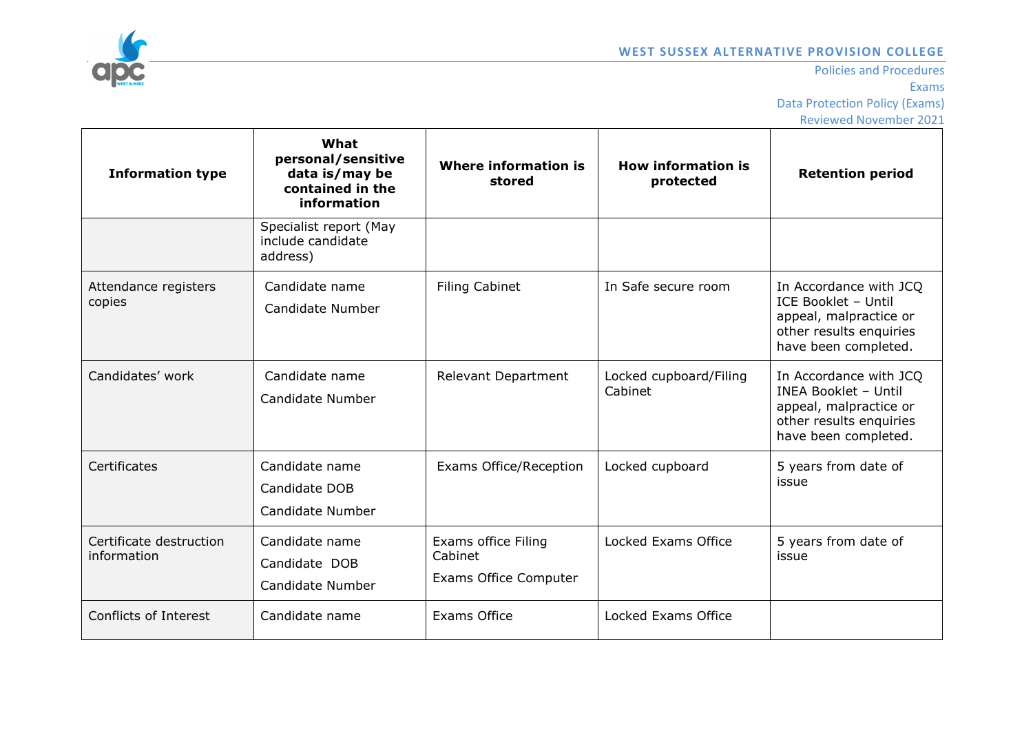

| <b>Information type</b>                | What<br>personal/sensitive<br>data is/may be<br>contained in the<br>information | <b>Where information is</b><br>stored                          | <b>How information is</b><br>protected | <b>Retention period</b>                                                                                                            |
|----------------------------------------|---------------------------------------------------------------------------------|----------------------------------------------------------------|----------------------------------------|------------------------------------------------------------------------------------------------------------------------------------|
|                                        | Specialist report (May<br>include candidate<br>address)                         |                                                                |                                        |                                                                                                                                    |
| Attendance registers<br>copies         | Candidate name<br>Candidate Number                                              | <b>Filing Cabinet</b>                                          | In Safe secure room                    | In Accordance with JCQ<br>ICE Booklet - Until<br>appeal, malpractice or<br>other results enquiries<br>have been completed.         |
| Candidates' work                       | Candidate name<br>Candidate Number                                              | <b>Relevant Department</b>                                     | Locked cupboard/Filing<br>Cabinet      | In Accordance with JCQ<br><b>INEA Booklet - Until</b><br>appeal, malpractice or<br>other results enquiries<br>have been completed. |
| Certificates                           | Candidate name<br>Candidate DOB<br>Candidate Number                             | <b>Exams Office/Reception</b>                                  | Locked cupboard                        | 5 years from date of<br>issue                                                                                                      |
| Certificate destruction<br>information | Candidate name<br>Candidate DOB<br>Candidate Number                             | Exams office Filing<br>Cabinet<br><b>Exams Office Computer</b> | Locked Exams Office                    | 5 years from date of<br>issue                                                                                                      |
| Conflicts of Interest                  | Candidate name                                                                  | Exams Office                                                   | Locked Exams Office                    |                                                                                                                                    |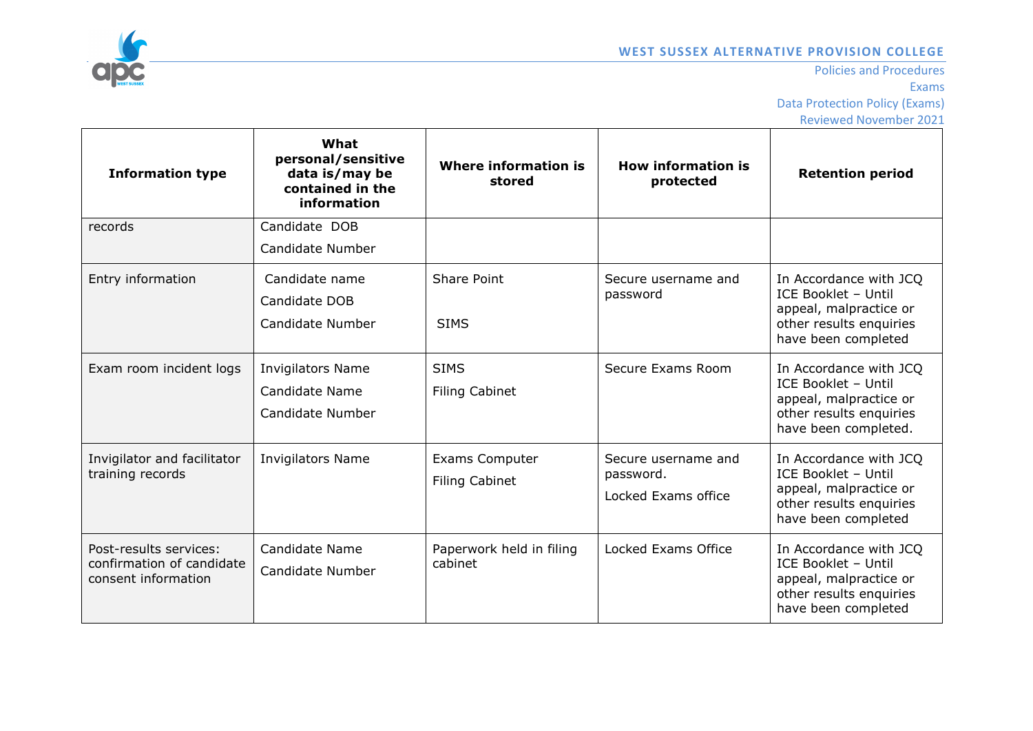

| <b>Information type</b>                                                    | What<br>personal/sensitive<br>data is/may be<br>contained in the<br>information | <b>Where information is</b><br>stored          | <b>How information is</b><br>protected                  | <b>Retention period</b>                                                                                                    |
|----------------------------------------------------------------------------|---------------------------------------------------------------------------------|------------------------------------------------|---------------------------------------------------------|----------------------------------------------------------------------------------------------------------------------------|
| records                                                                    | Candidate DOB                                                                   |                                                |                                                         |                                                                                                                            |
|                                                                            | Candidate Number                                                                |                                                |                                                         |                                                                                                                            |
| Entry information                                                          | Candidate name<br>Candidate DOB<br>Candidate Number                             | Share Point<br><b>SIMS</b>                     | Secure username and<br>password                         | In Accordance with JCQ<br>ICE Booklet - Until<br>appeal, malpractice or<br>other results enquiries<br>have been completed  |
| Exam room incident logs                                                    | <b>Invigilators Name</b><br>Candidate Name<br>Candidate Number                  | <b>SIMS</b><br><b>Filing Cabinet</b>           | Secure Exams Room                                       | In Accordance with JCQ<br>ICE Booklet - Until<br>appeal, malpractice or<br>other results enquiries<br>have been completed. |
| Invigilator and facilitator<br>training records                            | <b>Invigilators Name</b>                                                        | <b>Exams Computer</b><br><b>Filing Cabinet</b> | Secure username and<br>password.<br>Locked Exams office | In Accordance with JCQ<br>ICE Booklet - Until<br>appeal, malpractice or<br>other results enquiries<br>have been completed  |
| Post-results services:<br>confirmation of candidate<br>consent information | Candidate Name<br>Candidate Number                                              | Paperwork held in filing<br>cabinet            | Locked Exams Office                                     | In Accordance with JCQ<br>ICE Booklet - Until<br>appeal, malpractice or<br>other results enquiries<br>have been completed  |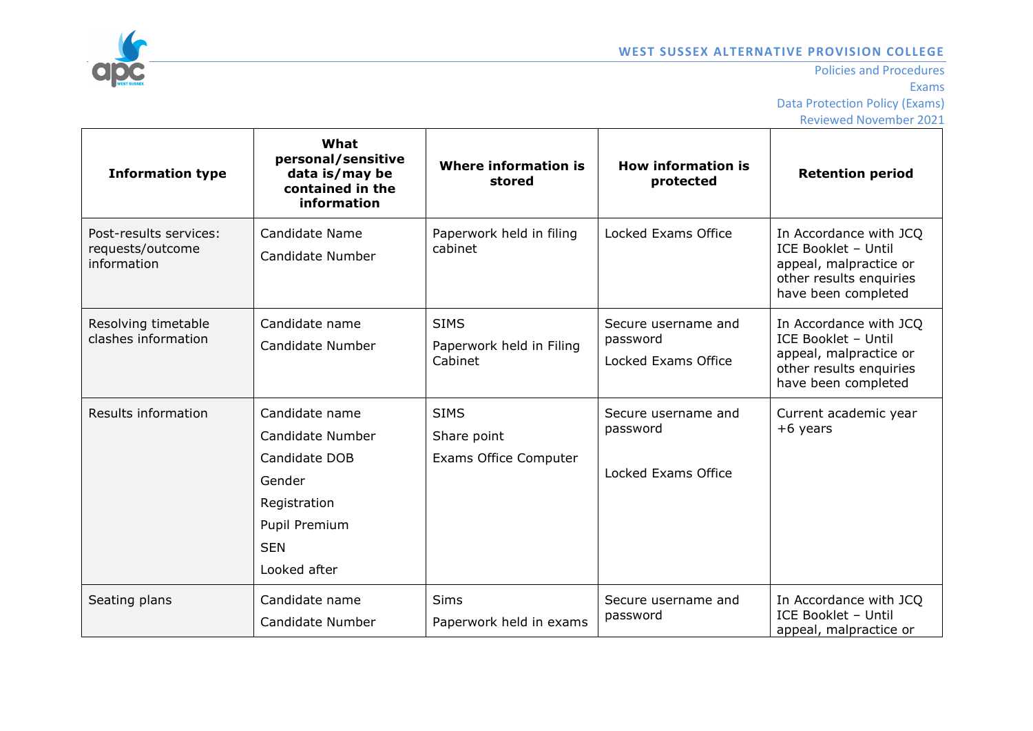

| <b>Information type</b>                                   | What<br>personal/sensitive<br>data is/may be<br>contained in the<br>information                                              | <b>Where information is</b><br>stored                      | <b>How information is</b><br>protected                 | <b>Retention period</b>                                                                                                   |
|-----------------------------------------------------------|------------------------------------------------------------------------------------------------------------------------------|------------------------------------------------------------|--------------------------------------------------------|---------------------------------------------------------------------------------------------------------------------------|
| Post-results services:<br>requests/outcome<br>information | Candidate Name<br>Candidate Number                                                                                           | Paperwork held in filing<br>cabinet                        | Locked Exams Office                                    | In Accordance with JCQ<br>ICE Booklet - Until<br>appeal, malpractice or<br>other results enquiries<br>have been completed |
| Resolving timetable<br>clashes information                | Candidate name<br>Candidate Number                                                                                           | <b>SIMS</b><br>Paperwork held in Filing<br>Cabinet         | Secure username and<br>password<br>Locked Exams Office | In Accordance with JCQ<br>ICE Booklet - Until<br>appeal, malpractice or<br>other results enquiries<br>have been completed |
| Results information                                       | Candidate name<br>Candidate Number<br>Candidate DOB<br>Gender<br>Registration<br>Pupil Premium<br><b>SEN</b><br>Looked after | <b>SIMS</b><br>Share point<br><b>Exams Office Computer</b> | Secure username and<br>password<br>Locked Exams Office | Current academic year<br>$+6$ years                                                                                       |
| Seating plans                                             | Candidate name<br>Candidate Number                                                                                           | <b>Sims</b><br>Paperwork held in exams                     | Secure username and<br>password                        | In Accordance with JCQ<br>ICE Booklet - Until<br>appeal, malpractice or                                                   |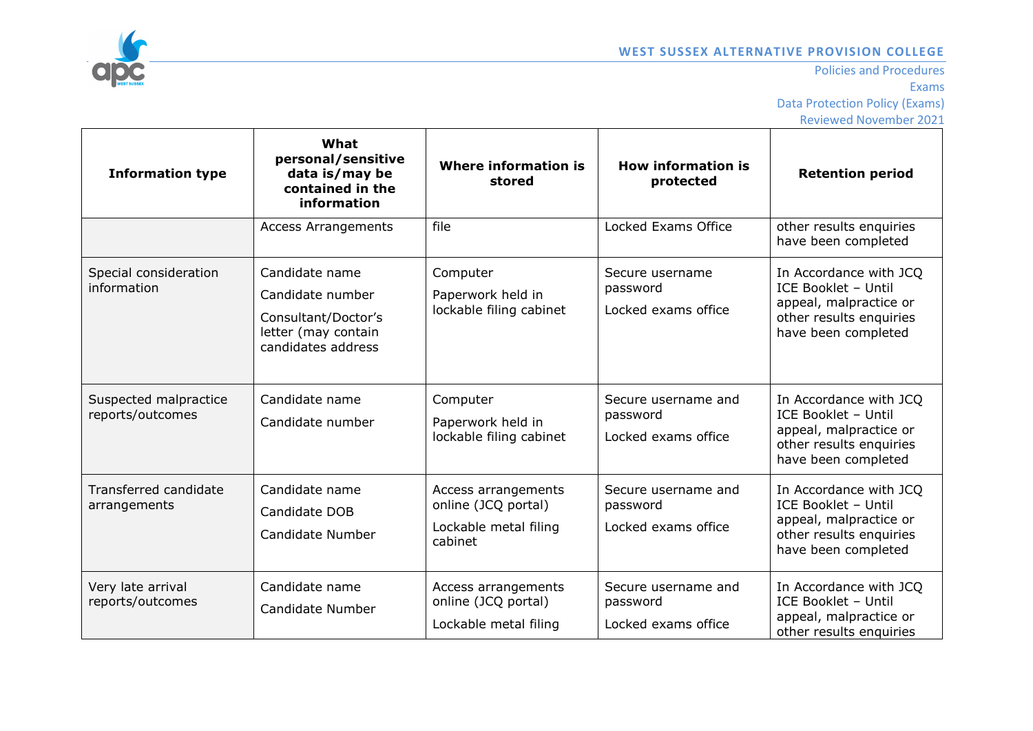

| <b>Information type</b>                   | What<br>personal/sensitive<br>data is/may be<br>contained in the<br>information                        | <b>Where information is</b><br>stored                                          | <b>How information is</b><br>protected                 | <b>Retention period</b>                                                                                                   |
|-------------------------------------------|--------------------------------------------------------------------------------------------------------|--------------------------------------------------------------------------------|--------------------------------------------------------|---------------------------------------------------------------------------------------------------------------------------|
|                                           | <b>Access Arrangements</b>                                                                             | file                                                                           | Locked Exams Office                                    | other results enquiries<br>have been completed                                                                            |
| Special consideration<br>information      | Candidate name<br>Candidate number<br>Consultant/Doctor's<br>letter (may contain<br>candidates address | Computer<br>Paperwork held in<br>lockable filing cabinet                       | Secure username<br>password<br>Locked exams office     | In Accordance with JCQ<br>ICE Booklet - Until<br>appeal, malpractice or<br>other results enquiries<br>have been completed |
| Suspected malpractice<br>reports/outcomes | Candidate name<br>Candidate number                                                                     | Computer<br>Paperwork held in<br>lockable filing cabinet                       | Secure username and<br>password<br>Locked exams office | In Accordance with JCQ<br>ICE Booklet - Until<br>appeal, malpractice or<br>other results enquiries<br>have been completed |
| Transferred candidate<br>arrangements     | Candidate name<br>Candidate DOB<br>Candidate Number                                                    | Access arrangements<br>online (JCQ portal)<br>Lockable metal filing<br>cabinet | Secure username and<br>password<br>Locked exams office | In Accordance with JCQ<br>ICE Booklet - Until<br>appeal, malpractice or<br>other results enquiries<br>have been completed |
| Very late arrival<br>reports/outcomes     | Candidate name<br>Candidate Number                                                                     | Access arrangements<br>online (JCQ portal)<br>Lockable metal filing            | Secure username and<br>password<br>Locked exams office | In Accordance with JCQ<br>ICE Booklet - Until<br>appeal, malpractice or<br>other results enquiries                        |